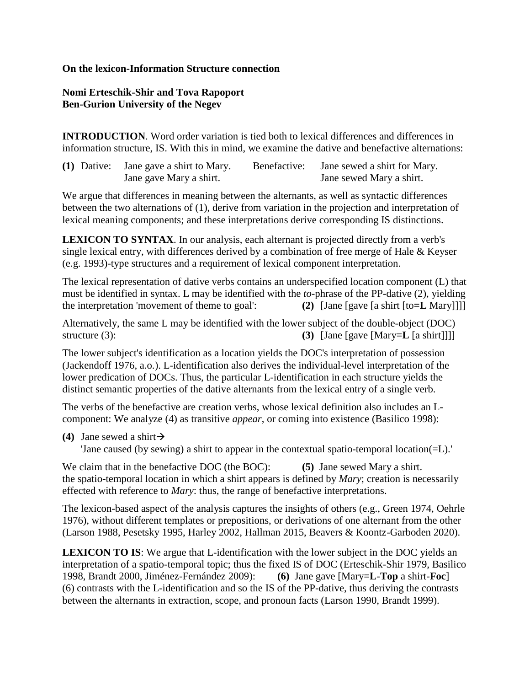## **On the lexicon-Information Structure connection**

## **Nomi Erteschik-Shir and Tova Rapoport Ben-Gurion University of the Negev**

**INTRODUCTION**. Word order variation is tied both to lexical differences and differences in information structure, IS. With this in mind, we examine the dative and benefactive alternations:

| (1) Dative: Jane gave a shirt to Mary. | Benefactive: | Jane sewed a shirt for Mary. |
|----------------------------------------|--------------|------------------------------|
| Jane gave Mary a shirt.                |              | Jane sewed Mary a shirt.     |

We argue that differences in meaning between the alternants, as well as syntactic differences between the two alternations of (1), derive from variation in the projection and interpretation of lexical meaning components; and these interpretations derive corresponding IS distinctions.

**LEXICON TO SYNTAX**. In our analysis, each alternant is projected directly from a verb's single lexical entry, with differences derived by a combination of free merge of Hale & Keyser (e.g. 1993)-type structures and a requirement of lexical component interpretation.

The lexical representation of dative verbs contains an underspecified location component (L) that must be identified in syntax. L may be identified with the *to*-phrase of the PP-dative (2), yielding the interpretation 'movement of theme to goal': **(2)** [Jane [gave [a shirt [to**=L** Mary]]]]

Alternatively, the same L may be identified with the lower subject of the double-object (DOC) structure (3): **(3)** [Jane [gave [Mary=**L** [a shirt]]]]

The lower subject's identification as a location yields the DOC's interpretation of possession (Jackendoff 1976, a.o.). L-identification also derives the individual-level interpretation of the lower predication of DOCs. Thus, the particular L-identification in each structure yields the distinct semantic properties of the dative alternants from the lexical entry of a single verb.

The verbs of the benefactive are creation verbs, whose lexical definition also includes an Lcomponent: We analyze (4) as transitive *appear*, or coming into existence (Basilico 1998):

**(4)** Jane sewed a shirt  $\rightarrow$ 

'Jane caused (by sewing) a shirt to appear in the contextual spatio-temporal location(=L).'

We claim that in the benefactive DOC (the BOC): **(5)** Jane sewed Mary a shirt. the spatio-temporal location in which a shirt appears is defined by *Mary*; creation is necessarily effected with reference to *Mary*: thus, the range of benefactive interpretations.

The lexicon-based aspect of the analysis captures the insights of others (e.g., Green 1974, Oehrle 1976), without different templates or prepositions, or derivations of one alternant from the other (Larson 1988, Pesetsky 1995, Harley 2002, Hallman 2015, Beavers & Koontz-Garboden 2020).

**LEXICON TO IS**: We argue that L-identification with the lower subject in the DOC yields an interpretation of a spatio-temporal topic; thus the fixed IS of DOC (Erteschik-Shir 1979, Basilico 1998, Brandt 2000, Jiménez-Fernández 2009): **(6)** Jane gave [Mary**=L**-**Top** a shirt-**Foc**] (6) contrasts with the L-identification and so the IS of the PP-dative, thus deriving the contrasts between the alternants in extraction, scope, and pronoun facts (Larson 1990, Brandt 1999).